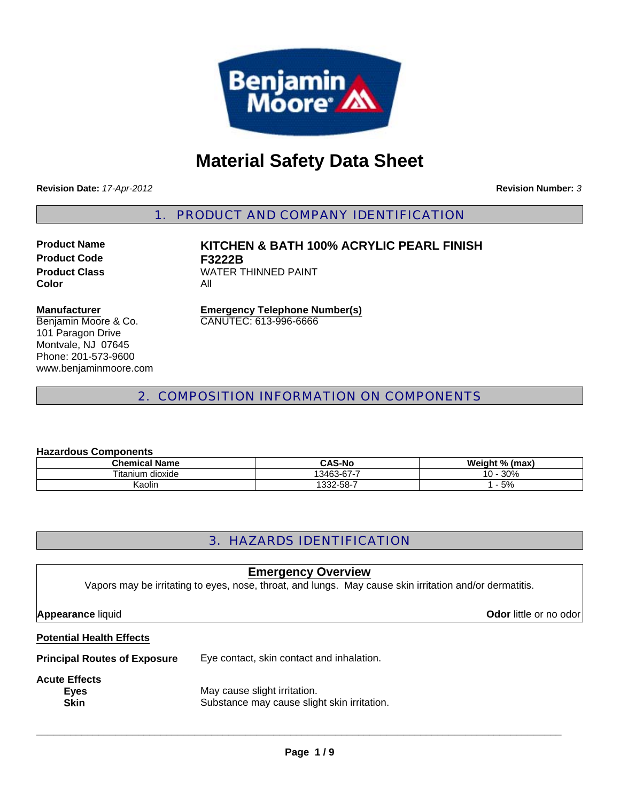

# **Material Safety Data Sheet**

**Revision Date:** *17-Apr-2012*

**Revision Number:** *3*

1. PRODUCT AND COMPANY IDENTIFICATION

**Product Code F3222B Color** All

**Product Name KITCHEN & BATH 100% ACRYLIC PEARL FINISH Product Class WATER THINNED PAINT** 

#### **Manufacturer**

Benjamin Moore & Co. 101 Paragon Drive Montvale, NJ 07645 Phone: 201-573-9600 www.benjaminmoore.com

**Emergency Telephone Number(s)** CANUTEC: 613-996-6666

### 2. COMPOSITION INFORMATION ON COMPONENTS

#### **Hazardous Components**

| .                    |               |                |
|----------------------|---------------|----------------|
| Chemical Name        | <b>CAS-No</b> | Weight % (max) |
| dioxide<br>l itanium | 13463-67-7    | 30%<br>$0 -$   |
| Kaolin               | 332-58-7      | 5%             |

### 3. HAZARDS IDENTIFICATION

### **Emergency Overview**

Vapors may be irritating to eyes, nose, throat, and lungs. May cause skin irritation and/or dermatitis.

## **Potential Health Effects**

**Principal Routes of Exposure** Eye contact, skin contact and inhalation.

### **Acute Effects**

**Eyes** May cause slight irritation. **Skin** Substance may cause slight skin irritation.

**\_\_\_\_\_\_\_\_\_\_\_\_\_\_\_\_\_\_\_\_\_\_\_\_\_\_\_\_\_\_\_\_\_\_\_\_\_\_\_\_\_\_\_\_\_\_\_\_\_\_\_\_\_\_\_\_\_\_\_\_\_\_\_\_\_\_\_\_\_\_\_\_\_\_\_\_\_\_\_\_\_\_\_\_\_\_\_\_\_\_\_\_\_**

**Appearance** liquid **Odor in the set of the set of the set of the set of the set of the set of the set of the set of the set of the set of the set of the set of the set of the set of the set of the set of the set of the se**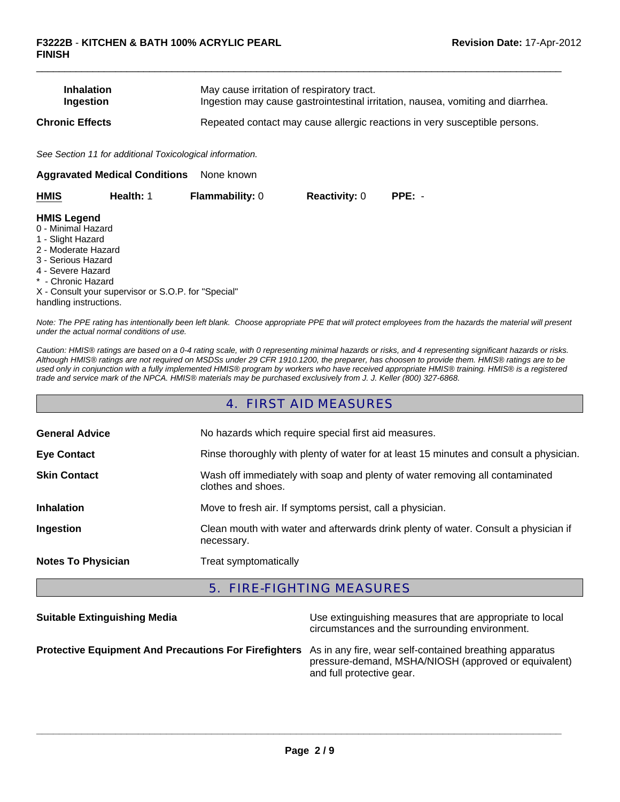| <b>Inhalation</b>      | May cause irritation of respiratory tract.                                      |
|------------------------|---------------------------------------------------------------------------------|
| Ingestion              | Ingestion may cause gastrointestinal irritation, nausea, vomiting and diarrhea. |
| <b>Chronic Effects</b> | Repeated contact may cause allergic reactions in very susceptible persons.      |

 $\Box$ 

*See Section 11 for additional Toxicological information.*

| None known<br><b>Aggravated Medical Conditions</b>                                                                                                                              |                                                     |                        |                      |          |  |
|---------------------------------------------------------------------------------------------------------------------------------------------------------------------------------|-----------------------------------------------------|------------------------|----------------------|----------|--|
| <b>HMIS</b>                                                                                                                                                                     | Health: 1                                           | <b>Flammability: 0</b> | <b>Reactivity: 0</b> | $PPE: -$ |  |
| <b>HMIS Legend</b><br>0 - Minimal Hazard<br>1 - Slight Hazard<br>2 - Moderate Hazard<br>3 - Serious Hazard<br>4 - Severe Hazard<br>* - Chronic Hazard<br>handling instructions. | X - Consult your supervisor or S.O.P. for "Special" |                        |                      |          |  |

*Note: The PPE rating has intentionally been left blank. Choose appropriate PPE that will protect employees from the hazards the material will present under the actual normal conditions of use.*

*Caution: HMIS® ratings are based on a 0-4 rating scale, with 0 representing minimal hazards or risks, and 4 representing significant hazards or risks. Although HMIS® ratings are not required on MSDSs under 29 CFR 1910.1200, the preparer, has choosen to provide them. HMIS® ratings are to be used only in conjunction with a fully implemented HMIS® program by workers who have received appropriate HMIS® training. HMIS® is a registered trade and service mark of the NPCA. HMIS® materials may be purchased exclusively from J. J. Keller (800) 327-6868.*

### 4. FIRST AID MEASURES

| <b>General Advice</b>     | No hazards which require special first aid measures.                                               |  |
|---------------------------|----------------------------------------------------------------------------------------------------|--|
| <b>Eye Contact</b>        | Rinse thoroughly with plenty of water for at least 15 minutes and consult a physician.             |  |
| <b>Skin Contact</b>       | Wash off immediately with soap and plenty of water removing all contaminated<br>clothes and shoes. |  |
| <b>Inhalation</b>         | Move to fresh air. If symptoms persist, call a physician.                                          |  |
| Ingestion                 | Clean mouth with water and afterwards drink plenty of water. Consult a physician if<br>necessary.  |  |
| <b>Notes To Physician</b> | Treat symptomatically                                                                              |  |

### 5. FIRE-FIGHTING MEASURES

| <b>Suitable Extinguishing Media</b>                                                                           | Use extinguishing measures that are appropriate to local<br>circumstances and the surrounding environment. |
|---------------------------------------------------------------------------------------------------------------|------------------------------------------------------------------------------------------------------------|
| Protective Equipment And Precautions For Firefighters As in any fire, wear self-contained breathing apparatus | pressure-demand, MSHA/NIOSH (approved or equivalent)<br>and full protective gear.                          |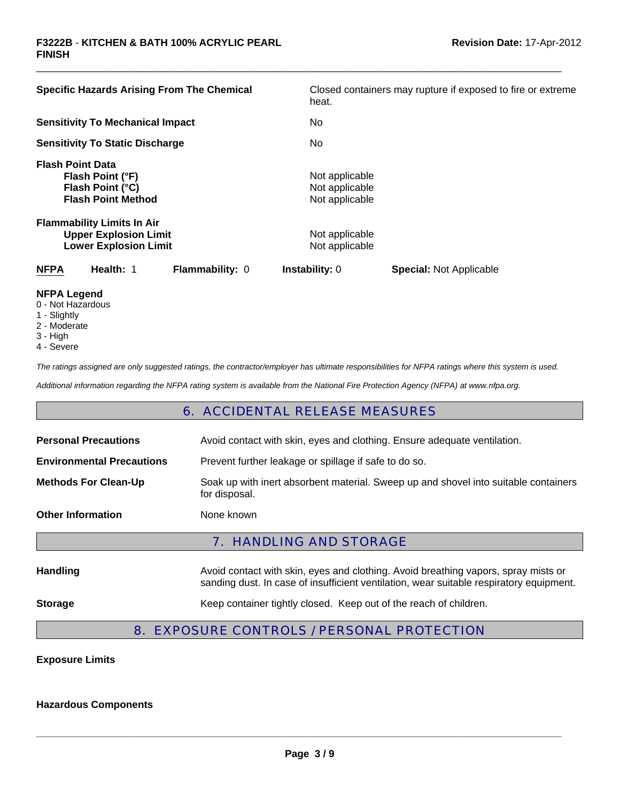| <b>Specific Hazards Arising From The Chemical</b>                                                 | Closed containers may rupture if exposed to fire or extreme |
|---------------------------------------------------------------------------------------------------|-------------------------------------------------------------|
|                                                                                                   | heat.                                                       |
| <b>Sensitivity To Mechanical Impact</b>                                                           | No.                                                         |
| <b>Sensitivity To Static Discharge</b>                                                            | No.                                                         |
| <b>Flash Point Data</b><br>Flash Point (°F)<br>Flash Point (°C)<br><b>Flash Point Method</b>      | Not applicable<br>Not applicable<br>Not applicable          |
| <b>Flammability Limits In Air</b><br><b>Upper Explosion Limit</b><br><b>Lower Explosion Limit</b> | Not applicable<br>Not applicable                            |
| Health: 1<br><b>NFPA</b><br><b>Flammability: 0</b>                                                | <b>Instability: 0</b><br><b>Special: Not Applicable</b>     |
| NFPA I agand                                                                                      |                                                             |

 $\Box$ 

- **NFPA Legend** 0 - Not Hazardous
- 1 Slightly
- 2 Moderate
- 
- 3 High
- 4 Severe

*The ratings assigned are only suggested ratings, the contractor/employer has ultimate responsibilities for NFPA ratings where this system is used.*

*Additional information regarding the NFPA rating system is available from the National Fire Protection Agency (NFPA) at www.nfpa.org.*

### 6. ACCIDENTAL RELEASE MEASURES

| <b>Personal Precautions</b>      | Avoid contact with skin, eyes and clothing. Ensure adequate ventilation.                                                                                                      |  |  |
|----------------------------------|-------------------------------------------------------------------------------------------------------------------------------------------------------------------------------|--|--|
| <b>Environmental Precautions</b> | Prevent further leakage or spillage if safe to do so.                                                                                                                         |  |  |
| <b>Methods For Clean-Up</b>      | Soak up with inert absorbent material. Sweep up and shovel into suitable containers<br>for disposal.                                                                          |  |  |
| <b>Other Information</b>         | None known                                                                                                                                                                    |  |  |
| 7. HANDLING AND STORAGE          |                                                                                                                                                                               |  |  |
| <b>Handling</b>                  | Avoid contact with skin, eyes and clothing. Avoid breathing vapors, spray mists or<br>sanding dust. In case of insufficient ventilation, wear suitable respiratory equipment. |  |  |
| <b>Storage</b>                   | Keep container tightly closed. Keep out of the reach of children.                                                                                                             |  |  |
|                                  |                                                                                                                                                                               |  |  |

### 8. EXPOSURE CONTROLS / PERSONAL PROTECTION

**Exposure Limits**

**Hazardous Components**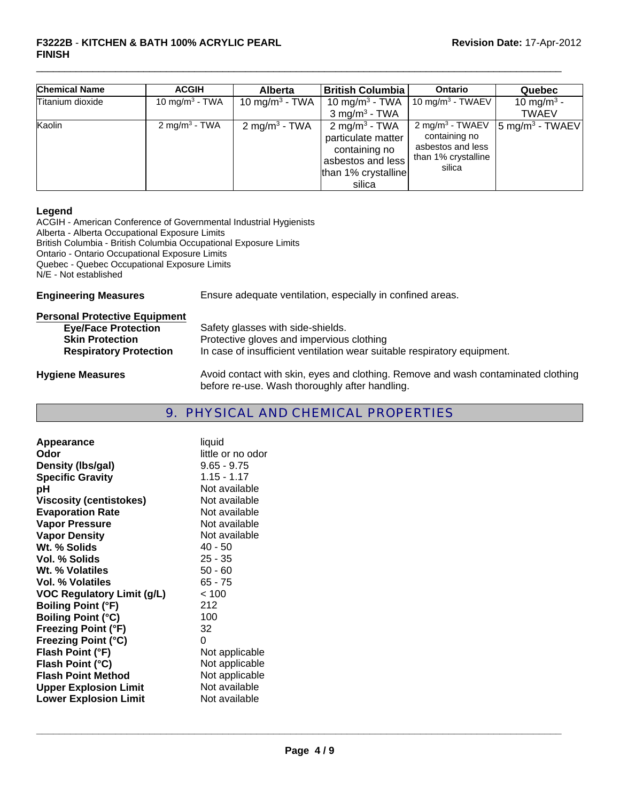#### **F3222B** - **KITCHEN & BATH 100% ACRYLIC PEARL Revision Date:** 17-Apr-2012 **FINISH**

| <b>Chemical Name</b> | <b>ACGIH</b>               | <b>Alberta</b>             | <b>British Columbia</b>                                                                                                | Ontario                                                                                            | <b>Quebec</b>                          |
|----------------------|----------------------------|----------------------------|------------------------------------------------------------------------------------------------------------------------|----------------------------------------------------------------------------------------------------|----------------------------------------|
| Titanium dioxide     | 10 mg/m <sup>3</sup> - TWA | 10 mg/m <sup>3</sup> - TWA | 10 mg/m <sup>3</sup> - TWA<br>$3 \text{ mg/m}^3$ - TWA                                                                 | 10 mg/m $3$ - TWAEV                                                                                | 10 mg/m <sup>3</sup> -<br><b>TWAEV</b> |
| Kaolin               | 2 mg/m <sup>3</sup> - TWA  | $2 \text{ mg/m}^3$ - TWA   | 2 mg/m <sup>3</sup> - TWA<br>particulate matter<br>containing no<br>asbestos and less<br>than 1% crystalline<br>silica | 2 mg/m <sup>3</sup> - TWAEV<br>containing no<br>asbestos and less<br>than 1% crystalline<br>silica | $\sqrt{5}$ mg/m <sup>3</sup> - TWAEV   |

 $\Box$ 

#### **Legend**

ACGIH - American Conference of Governmental Industrial Hygienists Alberta - Alberta Occupational Exposure Limits British Columbia - British Columbia Occupational Exposure Limits Ontario - Ontario Occupational Exposure Limits Quebec - Quebec Occupational Exposure Limits N/E - Not established

| <b>Engineering Measures</b>          | Ensure adequate ventilation, especially in confined areas.                        |  |
|--------------------------------------|-----------------------------------------------------------------------------------|--|
| <b>Personal Protective Equipment</b> |                                                                                   |  |
| <b>Eye/Face Protection</b>           | Safety glasses with side-shields.                                                 |  |
| <b>Skin Protection</b>               | Protective gloves and impervious clothing                                         |  |
| <b>Respiratory Protection</b>        | In case of insufficient ventilation wear suitable respiratory equipment.          |  |
| <b>Hygiene Measures</b>              | Avoid contact with skin, eyes and clothing. Remove and wash contaminated clothing |  |

### 9. PHYSICAL AND CHEMICAL PROPERTIES

before re-use. Wash thoroughly after handling.

| liquid            |
|-------------------|
| little or no odor |
| $9.65 - 9.75$     |
| $1.15 - 1.17$     |
| Not available     |
| Not available     |
| Not available     |
| Not available     |
| Not available     |
| $40 - 50$         |
| $25 - 35$         |
| $50 - 60$         |
| $65 - 75$         |
| < 100             |
| 212               |
| 100               |
| 32                |
| 0                 |
| Not applicable    |
| Not applicable    |
| Not applicable    |
| Not available     |
| Not available     |
|                   |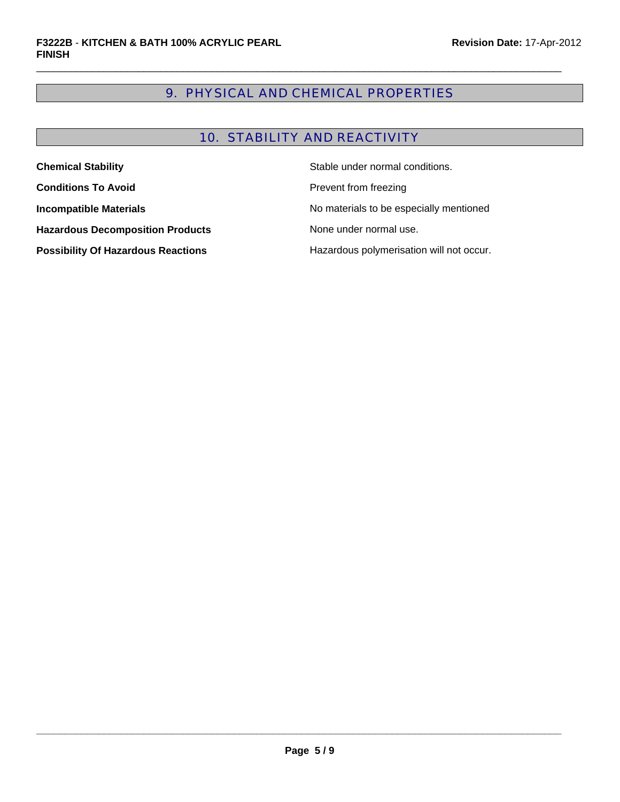### 9. PHYSICAL AND CHEMICAL PROPERTIES

 $\Box$ 

### 10. STABILITY AND REACTIVITY

| <b>Chemical Stability</b>                 | Stable under normal conditions.          |
|-------------------------------------------|------------------------------------------|
| <b>Conditions To Avoid</b>                | Prevent from freezing                    |
| <b>Incompatible Materials</b>             | No materials to be especially mentioned  |
| <b>Hazardous Decomposition Products</b>   | None under normal use.                   |
| <b>Possibility Of Hazardous Reactions</b> | Hazardous polymerisation will not occur. |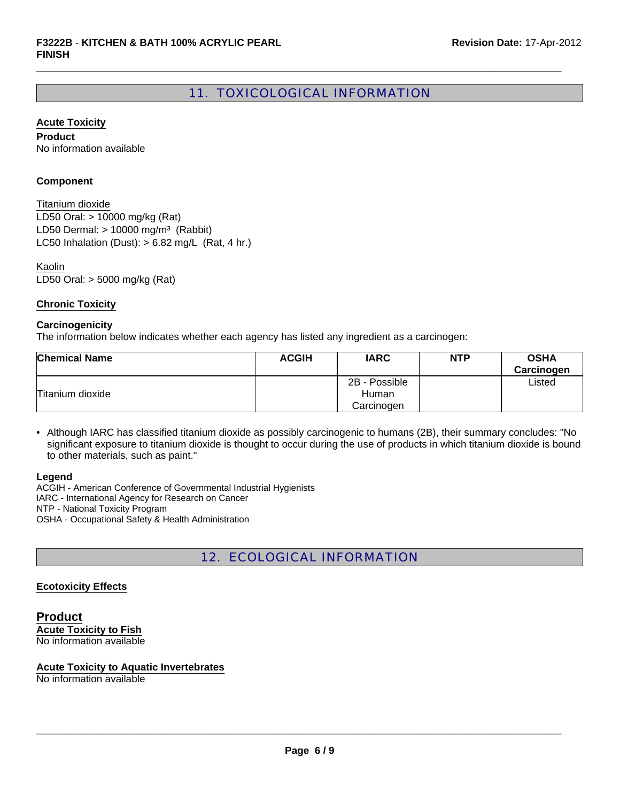### 11. TOXICOLOGICAL INFORMATION

 $\Box$ 

**Acute Toxicity**

**Product** No information available

#### **Component**

LD50 Oral: > 10000 mg/kg (Rat) LD50 Dermal:  $> 10000$  mg/m<sup>3</sup> (Rabbit) Titanium dioxide LC50 Inhalation (Dust):  $> 6.82$  mg/L (Rat, 4 hr.)

LD50 Oral: > 5000 mg/kg (Rat) Kaolin

#### **Chronic Toxicity**

#### **Carcinogenicity**

The information below indicates whether each agency has listed any ingredient as a carcinogen:

| <b>Chemical Name</b> | <b>ACGIH</b> | <b>IARC</b>   | <b>NTP</b> | <b>OSHA</b><br>Carcinogen |
|----------------------|--------------|---------------|------------|---------------------------|
|                      |              | 2B - Possible |            | ∟isted                    |
| Titanium dioxide     |              | Human         |            |                           |
|                      |              | Carcinogen    |            |                           |

• Although IARC has classified titanium dioxide as possibly carcinogenic to humans (2B), their summary concludes: "No significant exposure to titanium dioxide is thought to occur during the use of products in which titanium dioxide is bound to other materials, such as paint."

#### **Legend**

ACGIH - American Conference of Governmental Industrial Hygienists IARC - International Agency for Research on Cancer NTP - National Toxicity Program OSHA - Occupational Safety & Health Administration

### 12. ECOLOGICAL INFORMATION

#### **Ecotoxicity Effects**

**Product Acute Toxicity to Fish** No information available

#### **Acute Toxicity to Aquatic Invertebrates**

No information available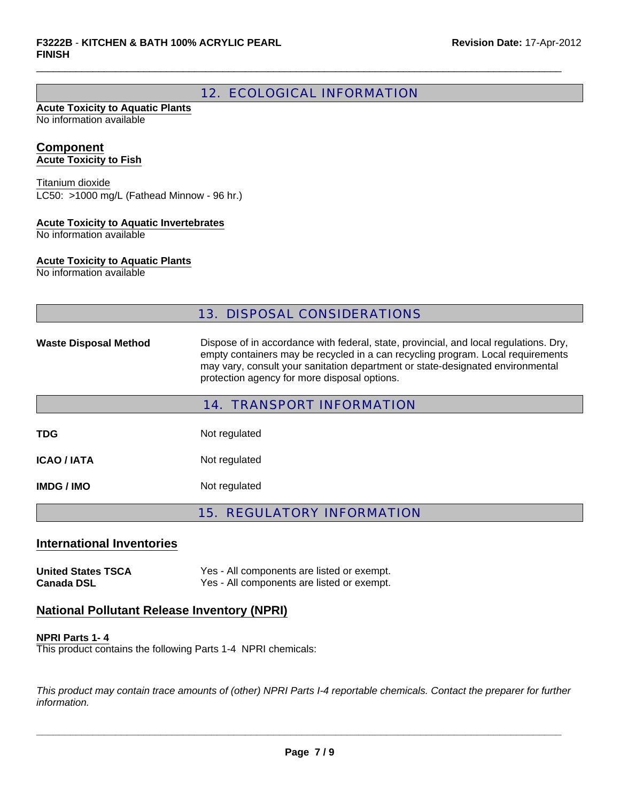### 12. ECOLOGICAL INFORMATION

 $\Box$ 

#### **Acute Toxicity to Aquatic Plants** No information available

#### **Component Acute Toxicity to Fish**

LC50: >1000 mg/L (Fathead Minnow - 96 hr.) Titanium dioxide

#### **Acute Toxicity to Aquatic Invertebrates**

No information available

#### **Acute Toxicity to Aquatic Plants**

No information available

### 13. DISPOSAL CONSIDERATIONS

Waste Disposal Method Dispose of in accordance with federal, state, provincial, and local regulations. Dry, empty containers may be recycled in a can recycling program. Local requirements may vary, consult your sanitation department or state-designated environmental protection agency for more disposal options.

| <b>14. TRANSPORT INFORMATION</b> |               |  |
|----------------------------------|---------------|--|
| TDG                              | Not regulated |  |
| <b>ICAO / IATA</b>               | Not regulated |  |
| IMDG / IMO                       | Not regulated |  |

15. REGULATORY INFORMATION

# **International Inventories**

**United States TSCA** Yes - All components are listed or exempt. **Canada DSL** Yes - All components are listed or exempt.

### **National Pollutant Release Inventory (NPRI)**

#### **NPRI Parts 1- 4**

This product contains the following Parts 1-4 NPRI chemicals:

*This product may contain trace amounts of (other) NPRI Parts I-4 reportable chemicals. Contact the preparer for further information.*